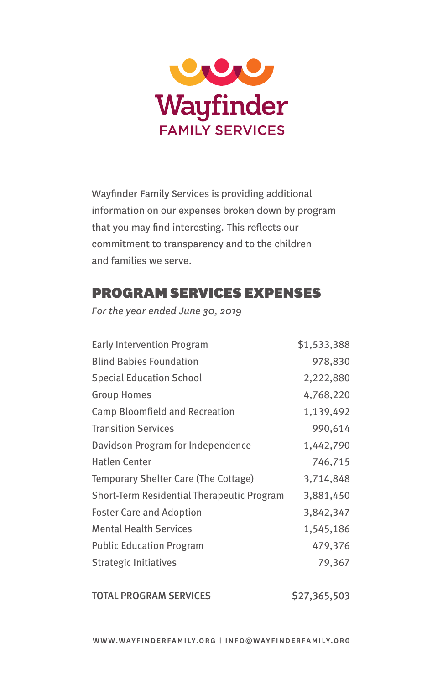

Wayfinder Family Services is providing additional information on our expenses broken down by program that you may find interesting. This reflects our commitment to transparency and to the children and families we serve.

## PROGRAM SERVICES EXPENSES

*For the year ended June 30, 2019*

| <b>Early Intervention Program</b>          | \$1,533,388 |
|--------------------------------------------|-------------|
| <b>Blind Babies Foundation</b>             | 978,830     |
| <b>Special Education School</b>            | 2,222,880   |
| <b>Group Homes</b>                         | 4,768,220   |
| Camp Bloomfield and Recreation             | 1,139,492   |
| <b>Transition Services</b>                 | 990,614     |
| Davidson Program for Independence          | 1,442,790   |
| <b>Hatlen Center</b>                       | 746,715     |
| Temporary Shelter Care (The Cottage)       | 3,714,848   |
| Short-Term Residential Therapeutic Program | 3,881,450   |
| <b>Foster Care and Adoption</b>            | 3,842,347   |
| <b>Mental Health Services</b>              | 1,545,186   |
| <b>Public Education Program</b>            | 479,376     |
| <b>Strategic Initiatives</b>               | 79,367      |

TOTAL PROGRAM SERVICES \$27,365,503